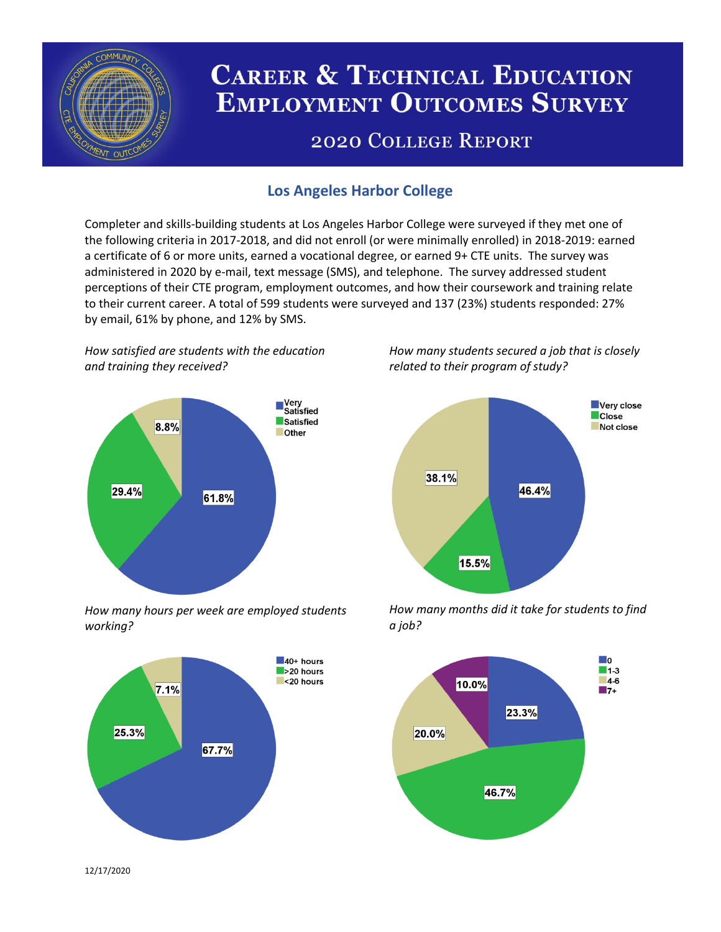

# **CAREER & TECHNICAL EDUCATION EMPLOYMENT OUTCOMES SURVEY**

## **2020 COLLEGE REPORT**

## **Los Angeles Harbor College**

Completer and skills-building students at Los Angeles Harbor College were surveyed if they met one of the following criteria in 2017-2018, and did not enroll (or were minimally enrolled) in 2018-2019: earned a certificate of 6 or more units, earned a vocational degree, or earned 9+ CTE units. The survey was administered in 2020 by e-mail, text message (SMS), and telephone. The survey addressed student perceptions of their CTE program, employment outcomes, and how their coursework and training relate to their current career. A total of 599 students were surveyed and 137 (23%) students responded: 27% by email, 61% by phone, and 12% by SMS.

*How satisfied are students with the education and training they received?*



*How many hours per week are employed students working?*



*How many students secured a job that is closely related to their program of study?*



*How many months did it take for students to find a job?*



12/17/2020